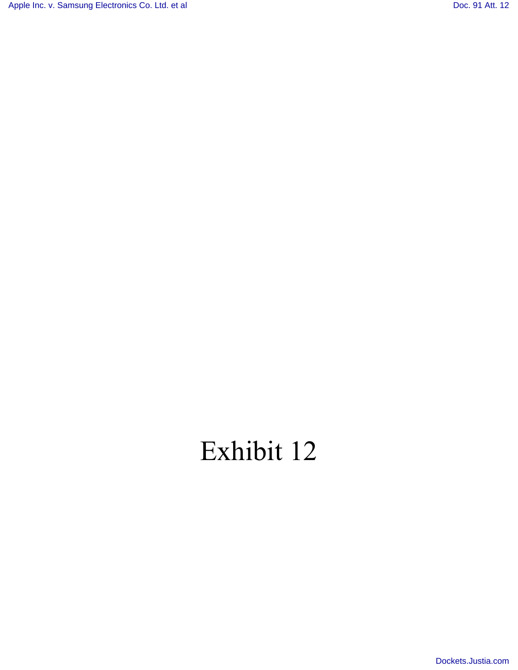[Apple Inc. v. Samsung Electronics Co. Ltd. et al](http://dockets.justia.com/docket/california/candce/5:2011cv01846/239768/) [Doc. 91 Att. 12](http://docs.justia.com/cases/federal/district-courts/california/candce/5:2011cv01846/239768/91/12.html)

## Exhibit 12

[Dockets.Justia.com](http://dockets.justia.com/)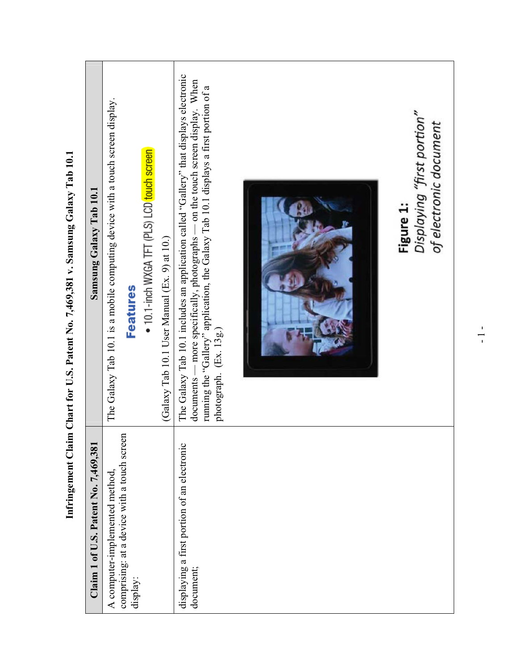| Samsung Galaxy Tab 10.1                | The Galaxy Tab 10.1 is a mobile computing device with a touch screen display. | <b>Features</b> | • 10.1-inch WXGA TFT (PLS) LCD touch screen | (Galaxy Tab 10.1 User Manual (Ex. 9) at 10.) | The Galaxy Tab 10.1 includes an application called "Gallery" that displays electronic<br>documents — more specifically, photographs — on the touch screen display. When<br>running the "Gallery" application, the Galaxy Tab 10.1 displays a first portion of a<br>photograph. (Ex. 13g.) | Displaying "first portion"<br>of electronic document<br>Figure 1: |
|----------------------------------------|-------------------------------------------------------------------------------|-----------------|---------------------------------------------|----------------------------------------------|-------------------------------------------------------------------------------------------------------------------------------------------------------------------------------------------------------------------------------------------------------------------------------------------|-------------------------------------------------------------------|
| Claim 1 of U.S. Patent No. $7,469,381$ | comprising: at a device with a touch screen<br>A computer-implemented method, | display:        |                                             |                                              | displaying a first portion of an electronic<br>document;                                                                                                                                                                                                                                  |                                                                   |

**Infringement Claim Chart for U.S. Patent No. 7,469,381 v. Samsung Galaxy Tab 10.1**  Infringement Claim Chart for U.S. Patent No. 7,469,381 v. Samsung Galaxy Tab 10.1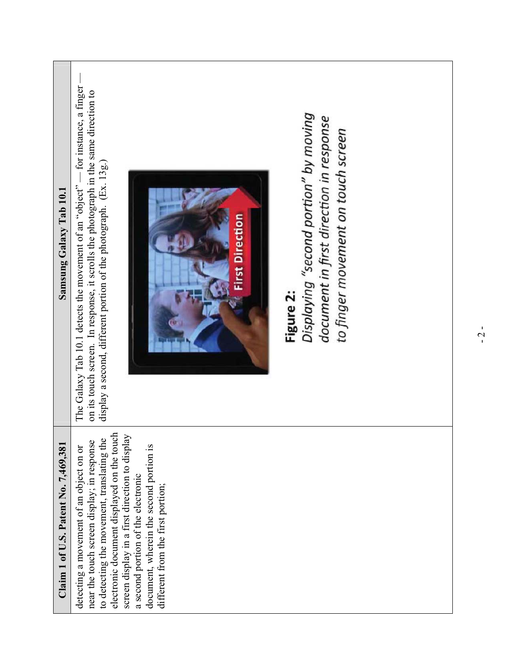| Samsung Galaxy Tab 10.1                | The Galaxy Tab 10.1 detects the movement of an "object" — for instance, a finger<br>on its touch screen. In response, it scrolls the photograph in the same direction to<br>Displaying "second portion" by moving<br>document in first direction in response<br>to finger movement on touch screen<br>display a second, different portion of the photograph. (Ex. 13g.)<br><b>First Direction</b><br>Figure 2: |
|----------------------------------------|----------------------------------------------------------------------------------------------------------------------------------------------------------------------------------------------------------------------------------------------------------------------------------------------------------------------------------------------------------------------------------------------------------------|
| Claim 1 of U.S. Patent No. $7,469,381$ | electronic document displayed on the touch<br>screen display in a first direction to display<br>to detecting the movement, translating the<br>near the touch screen display; in response<br>detecting a movement of an object on or<br>document, wherein the second portion is<br>a second portion of the electronic<br>different from the first portion;                                                      |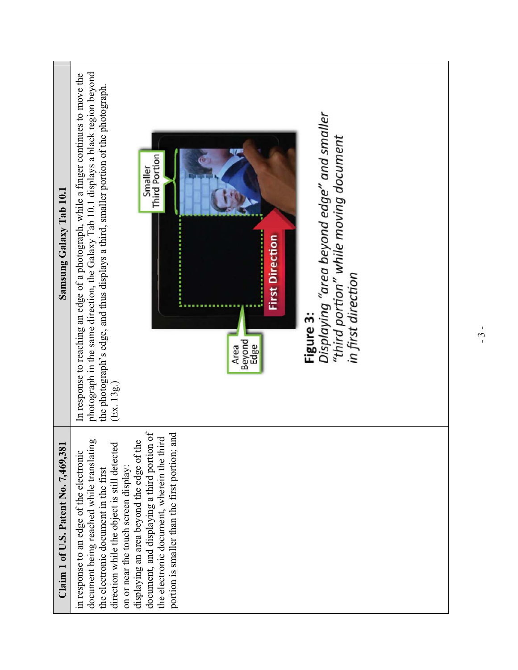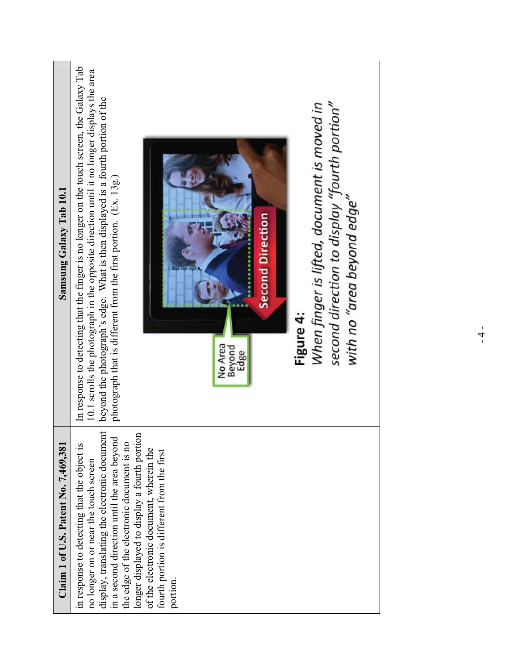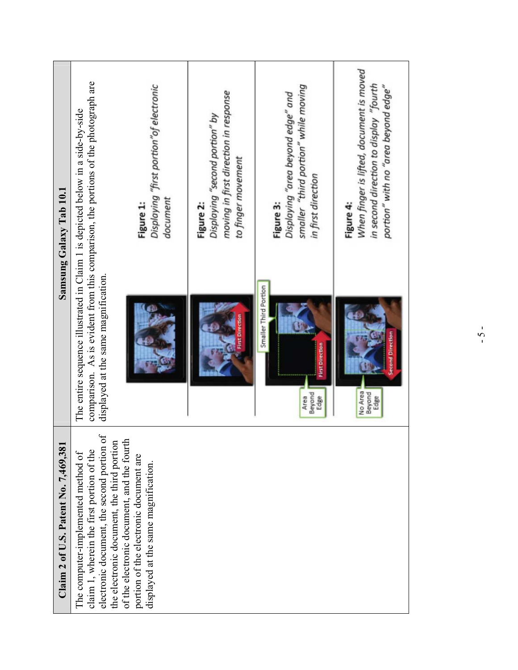| Samsung Galaxy Tab 10.1              | comparison. As is evident from this comparison, the portions of the photograph are<br>Displaying "first portion" of electronic<br>The entire sequence illustrated in Claim 1 is depicted below in a side-by-side<br>document<br>Figure 1:<br>displayed at the same magnification.                           | moving in first direction in response<br>Displaying "second portion" by<br>to finger movement<br>Figure 2:<br>First Direction | smaller "third portion" while moving<br>Displaying "area beyond edge" and<br>in first direction<br>Figure 3:<br>Smaller Third Portion<br><b>First Direction</b><br>Beyond<br>Edge<br>Area | When finger is lifted, document is moved<br>in second direction to display "fourth<br>portion" with no "area beyond edge"<br>Figure 4:<br>Second Direction<br>No Area<br>Beyond<br>Edge |
|--------------------------------------|-------------------------------------------------------------------------------------------------------------------------------------------------------------------------------------------------------------------------------------------------------------------------------------------------------------|-------------------------------------------------------------------------------------------------------------------------------|-------------------------------------------------------------------------------------------------------------------------------------------------------------------------------------------|-----------------------------------------------------------------------------------------------------------------------------------------------------------------------------------------|
| Claim 2 of U.S. Patent No. 7,469,381 | electronic document, the second portion of<br>of the electronic document, and the fourth<br>the electronic document, the third portion<br>claim 1, wherein the first portion of the<br>The computer-implemented method of<br>portion of the electronic document are<br>displayed at the same magnification. |                                                                                                                               |                                                                                                                                                                                           |                                                                                                                                                                                         |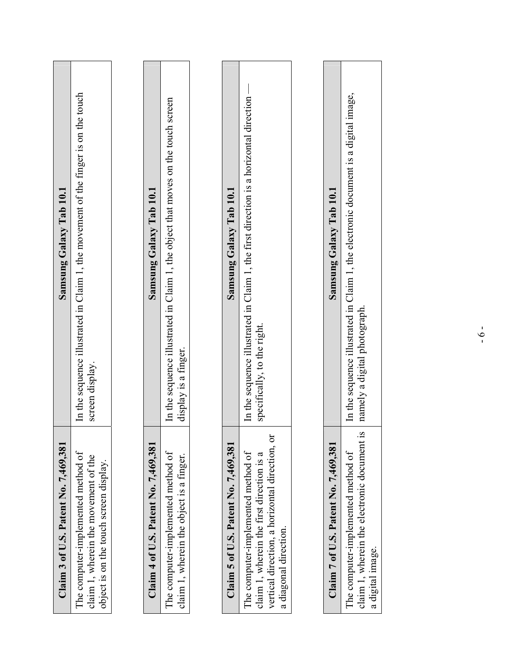| Claim 3 of U.S. Patent No. 7,469,381                                                                                                                       | Samsung Galaxy Tab 10.1                                                                                              |
|------------------------------------------------------------------------------------------------------------------------------------------------------------|----------------------------------------------------------------------------------------------------------------------|
| The computer-implemented method of<br>claim 1, wherein the movement of the<br>object is on the touch screen display.                                       | In the sequence illustrated in Claim 1, the movement of the finger is on the touch<br>screen display.                |
|                                                                                                                                                            |                                                                                                                      |
| Claim 4 of U.S. Patent No. $7,469,381$                                                                                                                     | Samsung Galaxy Tab 10.1                                                                                              |
| The computer-implemented method of<br>claim 1, wherein the object is a finger.                                                                             | In the sequence illustrated in Claim 1, the object that moves on the touch screen<br>display is a finger.            |
|                                                                                                                                                            |                                                                                                                      |
| Claim 5 of U.S. Patent No. $7,469,381$                                                                                                                     | Samsung Galaxy Tab 10.1                                                                                              |
| vertical direction, a horizontal direction, or<br>The computer-implemented method of<br>claim 1, wherein the first direction is a<br>a diagonal direction. | In the sequence illustrated in Claim 1, the first direction is a horizontal direction<br>specifically, to the right. |
|                                                                                                                                                            |                                                                                                                      |
| Claim 7 of U.S. Patent No. 7,469,381                                                                                                                       | Samsung Galaxy Tab 10.1                                                                                              |
| $\overline{\mathbf{S}}$<br>claim 1, wherein the electronic document<br>The computer-implemented method of<br>a digital image.                              | In the sequence illustrated in Claim 1, the electronic document is a digital image,<br>namely a digital photograph.  |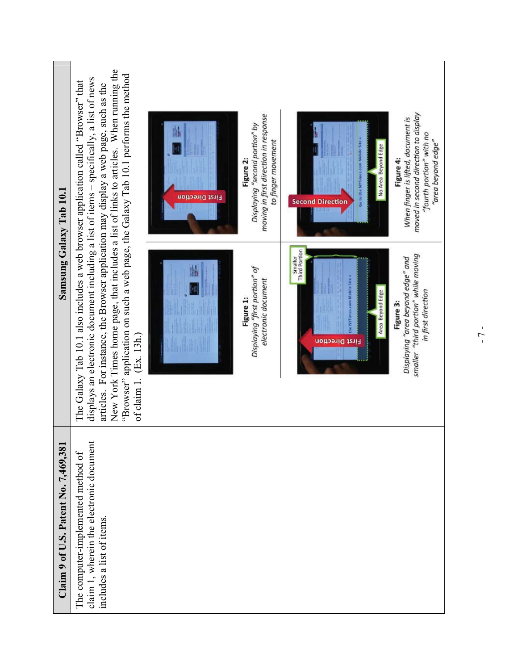

- 7 -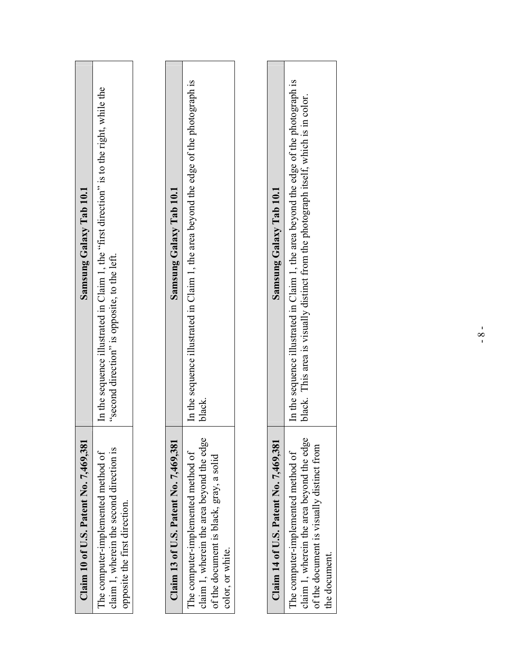| Samsung Galaxy Tab 10.1               | In the sequence illustrated in Claim 1, the "first direction" is to the right, while the<br>"second direction" is opposite, to the left. | Samsung Galaxy Tab 10.1               | In the sequence illustrated in Claim 1, the area beyond the edge of the photograph is<br>black.                                                | Samsung Galaxy Tab 10.1               | In the sequence illustrated in Claim 1, the area beyond the edge of the photograph is<br>black. This area is visually distinct from the photograph itself, which is in color. |
|---------------------------------------|------------------------------------------------------------------------------------------------------------------------------------------|---------------------------------------|------------------------------------------------------------------------------------------------------------------------------------------------|---------------------------------------|-------------------------------------------------------------------------------------------------------------------------------------------------------------------------------|
| Claim 10 of U.S. Patent No. 7,469,381 | claim 1, wherein the second direction is<br>The computer-implemented method of<br>opposite the first direction.                          | Claim 13 of U.S. Patent No. 7,469,381 | claim 1, wherein the area beyond the edge<br>The computer-implemented method of<br>of the document is black, gray, a solid<br>color, or white. | Claim 14 of U.S. Patent No. 7,469,381 | claim 1, wherein the area beyond the edge<br>of the document is visually distinct from<br>The computer-implemented method of<br>the document.                                 |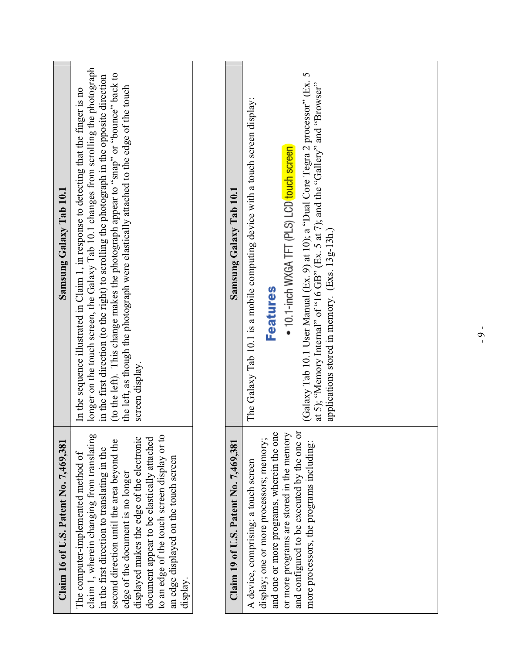| Claim 16 of U.S. Patent No. 7,469,381                                                                                                                                                                                                                                                                                                                                                                                | Samsung Galaxy Tab 10.1                                                                                                                                                                                                                                                                                                                                                                                                                                                            |
|----------------------------------------------------------------------------------------------------------------------------------------------------------------------------------------------------------------------------------------------------------------------------------------------------------------------------------------------------------------------------------------------------------------------|------------------------------------------------------------------------------------------------------------------------------------------------------------------------------------------------------------------------------------------------------------------------------------------------------------------------------------------------------------------------------------------------------------------------------------------------------------------------------------|
| claim 1, wherein changing from translating<br>to an edge of the touch screen display or to<br>second direction until the area beyond the<br>displayed makes the edge of the electronic<br>document appear to be elastically attached<br>in the first direction to translating in the<br>The computer-implemented method of<br>an edge displayed on the touch screen<br>edge of the document is no longer<br>display. | longer on the touch screen, the Galaxy Tab 10.1 changes from scrolling the photograph<br>(to the left). This change makes the photograph appear to "snap" or "bounce" back to<br>in the first direction (to the right) to scrolling the photograph in the opposite direction<br>the left, as though the photograph were elastically attached to the edge of the touch<br>In the sequence illustrated in Claim 1, in response to detecting that the finger is no<br>screen display. |
|                                                                                                                                                                                                                                                                                                                                                                                                                      |                                                                                                                                                                                                                                                                                                                                                                                                                                                                                    |
| Claim 19 of U.S. Patent No. 7,469,381                                                                                                                                                                                                                                                                                                                                                                                | Samsung Galaxy Tab 10.1                                                                                                                                                                                                                                                                                                                                                                                                                                                            |
| and one or more programs, wherein the one<br>and configured to be executed by the one or<br>or more programs are stored in the memory<br>display; one or more processors; memory;<br>more processors, the programs including:<br>A device, comprising: a touch screen                                                                                                                                                | (Galaxy Tab 10.1 User Manual (Ex. 9) at 10); a "Dual Core Tegra 2 processor" (Ex. 5<br>at 5); "Memory Internal" of "16 GB" (Ex. 5 at 7); and the "Gallery" and "Browser"<br>The Galaxy Tab 10.1 is a mobile computing device with a touch screen display:<br>• 10.1-inch WXGA TFT (PLS) LCD touch screen<br>applications stored in memory. (Exs. 13g-13h.)<br><b>Features</b>                                                                                                      |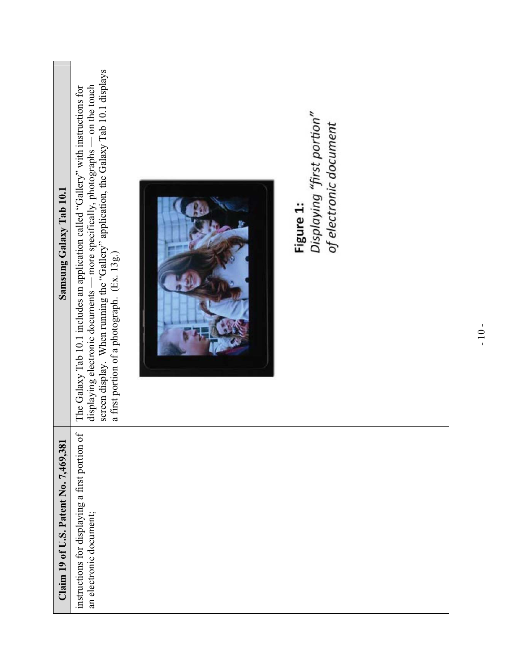| Samsung Galaxy Tab 10.1               | screen display. When running the "Gallery" application, the Galaxy Tab 10.1 displays<br>displaying electronic documents — more specifically, photographs — on the touch<br>The Galaxy Tab 10.1 includes an application called "Gallery" with instructions for<br>a first portion of a photograph. (Ex. 13g.) | Displaying "first portion"<br>of electronic document<br>Figure 1: |  |
|---------------------------------------|--------------------------------------------------------------------------------------------------------------------------------------------------------------------------------------------------------------------------------------------------------------------------------------------------------------|-------------------------------------------------------------------|--|
| Claim 19 of U.S. Patent No. 7,469,381 | $\sigma$<br>instructions for displaying a first portion<br>an electronic document;                                                                                                                                                                                                                           |                                                                   |  |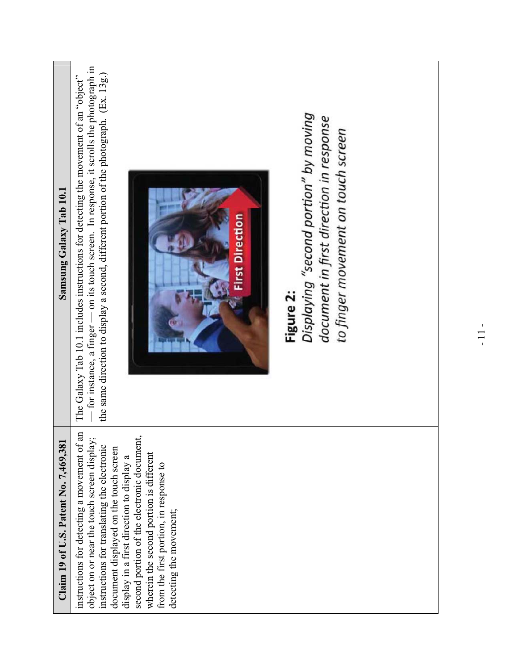| Samsung Galaxy Tab 10.1               | $-$ for instance, a finger $-$ on its touch screen. In response, it scrolls the photograph in<br>the same direction to display a second, different portion of the photograph. (Ex. 13g.)<br>The Galaxy Tab 10.1 includes instructions for detecting the movement of an "object"<br>Displaying "second portion" by moving<br>document in first direction in response<br>to finger movement on touch screen<br><b>First Direction</b><br>Figure 2: |
|---------------------------------------|--------------------------------------------------------------------------------------------------------------------------------------------------------------------------------------------------------------------------------------------------------------------------------------------------------------------------------------------------------------------------------------------------------------------------------------------------|
| Claim 19 of U.S. Patent No. 7,469,381 | instructions for detecting a movement of an<br>second portion of the electronic document,<br>object on or near the touch screen display<br>instructions for translating the electronic<br>document displayed on the touch screen<br>wherein the second portion is different<br>display in a first direction to display a<br>from the first portion, in response to<br>detecting the movement;                                                    |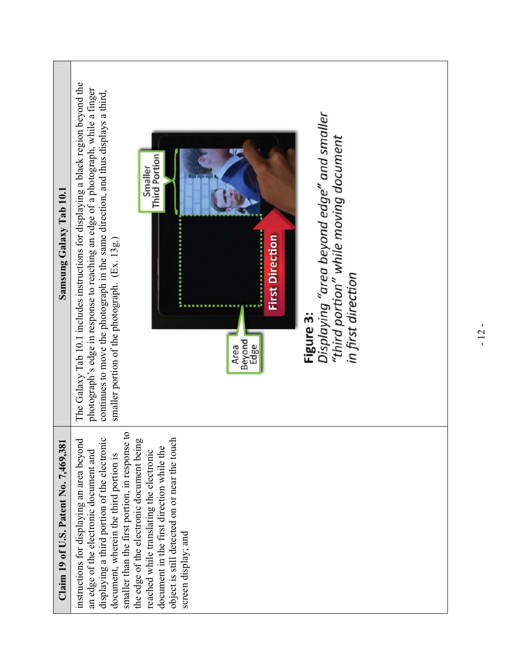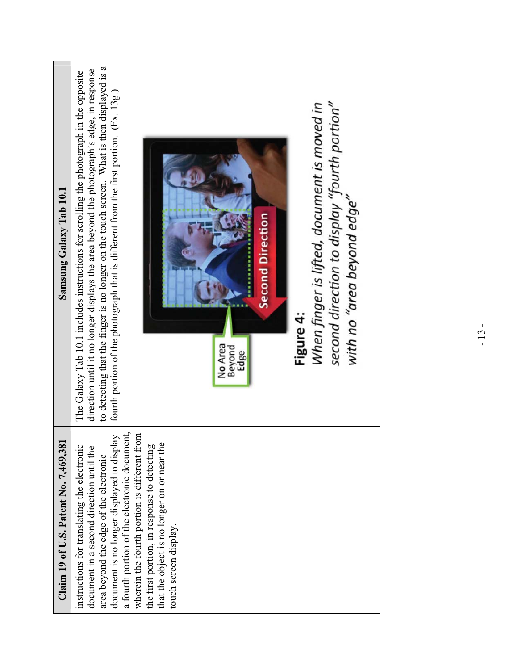| Samsung Galaxy Tab 10.1               | to detecting that the finger is no longer on the touch screen. What is then displayed is a<br>direction until it no longer displays the area beyond the photograph's edge, in response<br>The Galaxy Tab 10.1 includes instructions for scrolling the photograph in the opposite<br>fourth portion of the photograph that is different from the first portion. (Ex. 13g.)<br>second direction to display "fourth portion"<br>When finger is lifted, document is moved in<br>with no "area beyond edge"<br><b>Second Direction</b><br>Figure 4:<br>No Area<br>Beyond<br>Edge |
|---------------------------------------|-----------------------------------------------------------------------------------------------------------------------------------------------------------------------------------------------------------------------------------------------------------------------------------------------------------------------------------------------------------------------------------------------------------------------------------------------------------------------------------------------------------------------------------------------------------------------------|
| Claim 19 of U.S. Patent No. 7,469,381 | a fourth portion of the electronic document,<br>wherein the fourth portion is different from<br>document is no longer displayed to display<br>instructions for translating the electronic<br>the first portion, in response to detecting<br>that the object is no longer on or near the<br>document in a second direction until the<br>area beyond the edge of the electronic<br>touch screen display.                                                                                                                                                                      |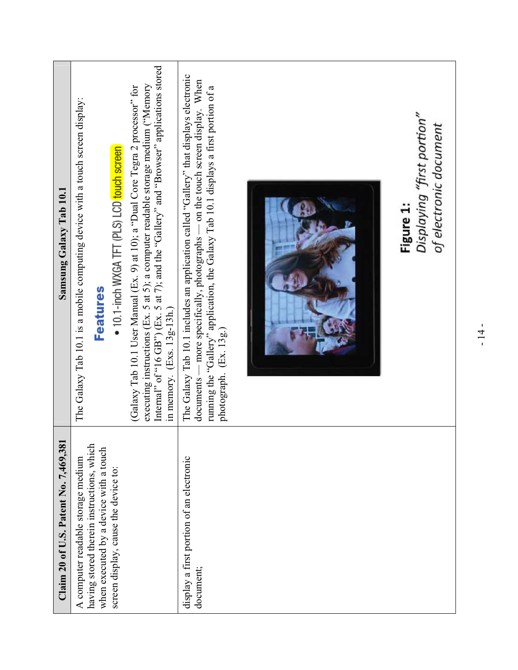| Samsung Galaxy Tab 10.1              | The Galaxy Tab 10.1 is a mobile computing device with a touch screen display:<br>• 10.1-inch WXGA TFT (PLS) LCD touch screen<br><b>Features</b>                   | Internal" of "16 GB") (Ex. 5 at 7); and the "Gallery" and "Browser" applications stored<br>executing instructions (Ex. 5 at 5); a computer readable storage medium ("Memory<br>(Galaxy Tab 10.1 User Manual (Ex. 9) at 10); a "Dual Core Tegra 2 processor" for<br>in memory. $(Exs. 13g-13h.)$ | The Galaxy Tab 10.1 includes an application called "Gallery" that displays electronic<br>- more specifically, photographs - on the touch screen display. When<br>running the "Gallery" application, the Galaxy Tab 10.1 displays a first portion of a<br>photograph. (Ex. 13g.)<br>$documents -$ | Displaying "first portion"<br>of electronic document<br>Figure 1: |
|--------------------------------------|-------------------------------------------------------------------------------------------------------------------------------------------------------------------|-------------------------------------------------------------------------------------------------------------------------------------------------------------------------------------------------------------------------------------------------------------------------------------------------|--------------------------------------------------------------------------------------------------------------------------------------------------------------------------------------------------------------------------------------------------------------------------------------------------|-------------------------------------------------------------------|
| Claim 20 of U.S. Patent No. 7,469,38 | having stored therein instructions, which<br>when executed by a device with a touch<br>A computer readable storage medium<br>screen display, cause the device to: |                                                                                                                                                                                                                                                                                                 | display a first portion of an electronic<br>document;                                                                                                                                                                                                                                            |                                                                   |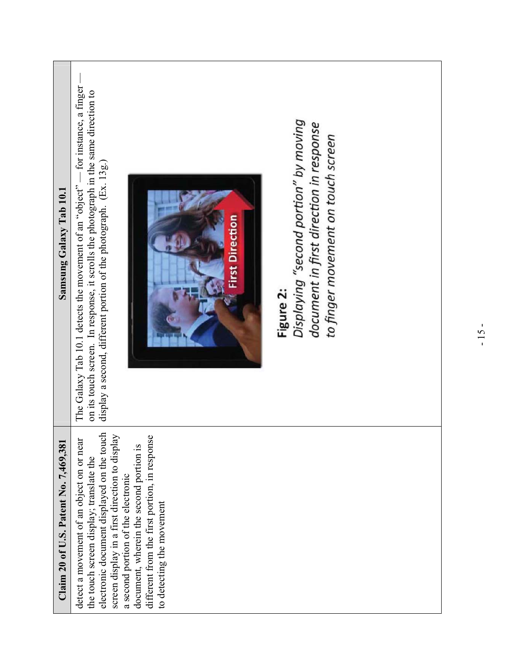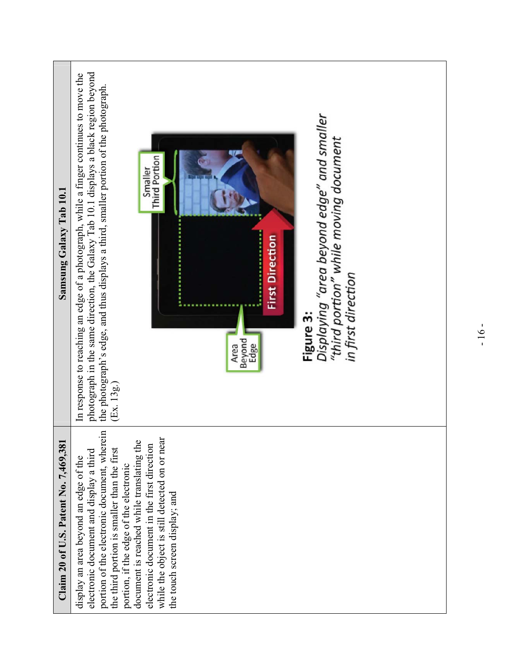